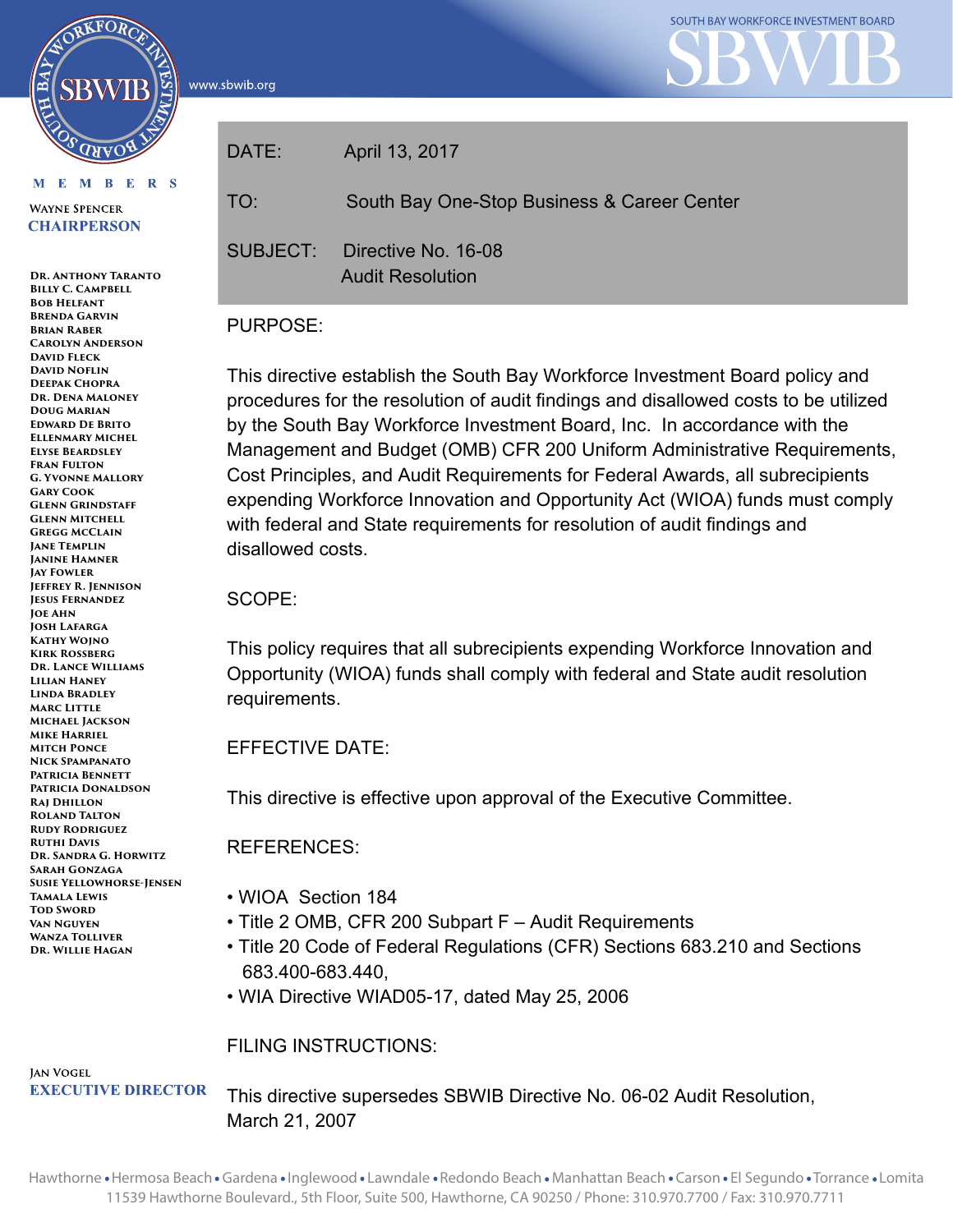www.sbwib.org



M E M B E R S

RKFOR

**WAYNE SPENCER CHAIRPERSON** 

**Dr. Anthony Taranto BILLY C. CAMPBELL Bob Helfant Brenda Garvin Brian Raber Carolyn Anderson David Fleck David Noflin Deepak Chopra Dr. Dena Maloney Doug Marian Edward De Brito Ellenmary Michel Elyse Beardsley Fran Fulton G. Yvonne Mallory Gary Cook Glenn Grindstaff Glenn Mitchell Gregg McClain Jane Templin Janine Hamner Jay Fowler Jeffrey R. Jennison Jesus Fernandez Joe Ahn Josh Lafarga Kathy Wojno Kirk Rossberg Dr. Lance Williams Lilian Haney Linda Bradley Marc Little Michael Jackson Mike Harriel Mitch Ponce Nick Spampanato Patricia Bennett Patricia Donaldson Raj Dhillon Roland Talton Rudy Rodriguez Ruthi Davis Dr. Sandra G. Horwitz Sarah Gonzaga Susie Yellowhorse-Jensen Tamala Lewis Tod Sword Van Nguyen Wanza Tolliver Dr. Willie Hagan**

DATE: April 13, 2017

TO: South Bay One-Stop Business & Career Center

SUBJECT: Directive No. 16-08 Audit Resolution

### PURPOSE:

This directive establish the South Bay Workforce Investment Board policy and procedures for the resolution of audit findings and disallowed costs to be utilized by the South Bay Workforce Investment Board, Inc. In accordance with the Management and Budget (OMB) CFR 200 Uniform Administrative Requirements, Cost Principles, and Audit Requirements for Federal Awards, all subrecipients expending Workforce Innovation and Opportunity Act (WIOA) funds must comply with federal and State requirements for resolution of audit findings and disallowed costs.

SCOPE:

This policy requires that all subrecipients expending Workforce Innovation and Opportunity (WIOA) funds shall comply with federal and State audit resolution requirements.

# EFFECTIVE DATE:

This directive is effective upon approval of the Executive Committee.

# REFERENCES:

- WIOA Section 184
- Title 2 OMB, CFR 200 Subpart F Audit Requirements
- Title 20 Code of Federal Regulations (CFR) Sections 683.210 and Sections 683.400-683.440,
- WIA Directive WIAD05-17, dated May 25, 2006

# FILING INSTRUCTIONS:

#### **JAN VOGEL EXECUTIVE DIRECTOR**

# This directive supersedes SBWIB Directive No. 06-02 Audit Resolution, March 21, 2007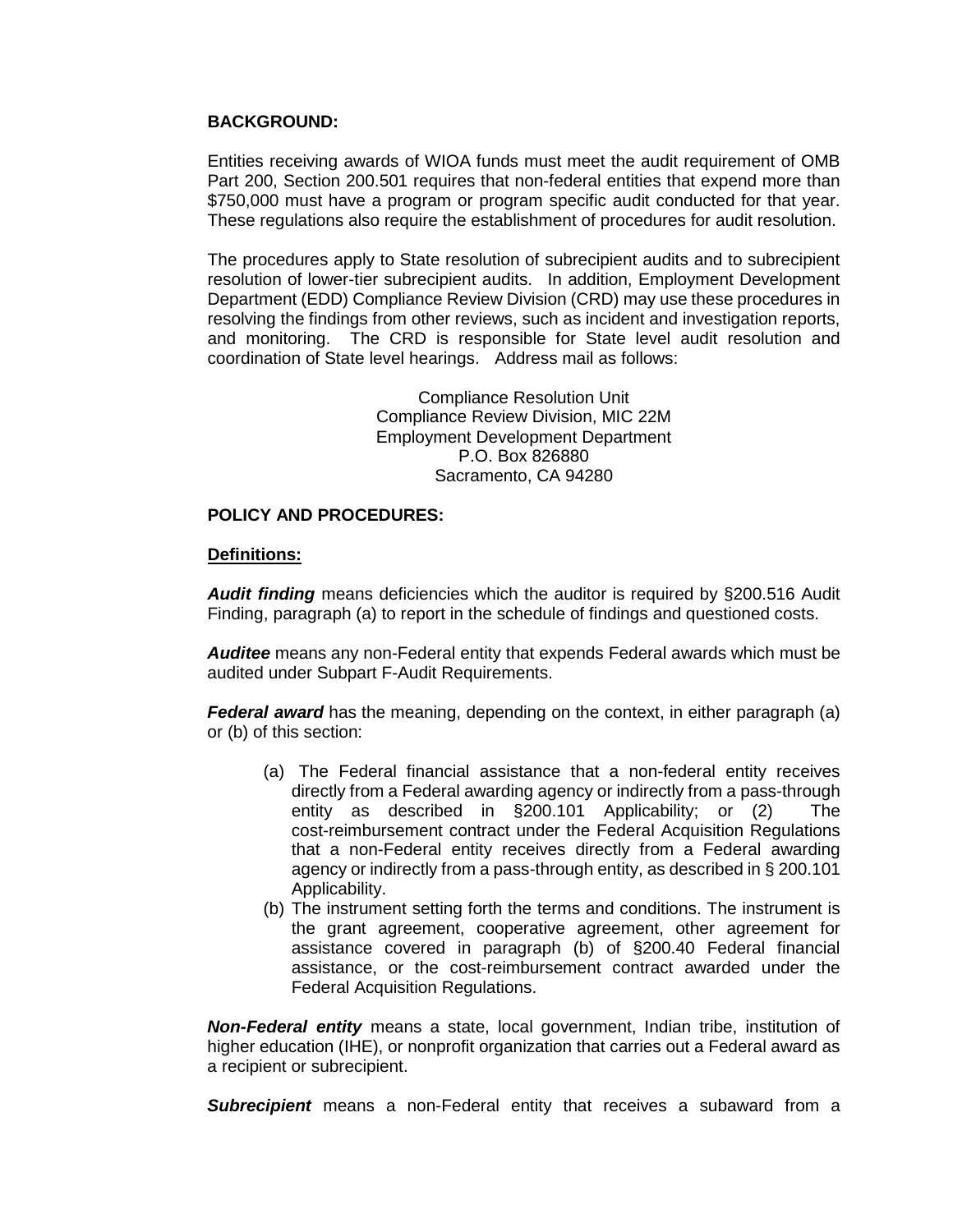#### **BACKGROUND:**

Entities receiving awards of WIOA funds must meet the audit requirement of OMB Part 200, Section 200.501 requires that non-federal entities that expend more than \$750,000 must have a program or program specific audit conducted for that year. These regulations also require the establishment of procedures for audit resolution.

The procedures apply to State resolution of subrecipient audits and to subrecipient resolution of lower-tier subrecipient audits. In addition, Employment Development Department (EDD) Compliance Review Division (CRD) may use these procedures in resolving the findings from other reviews, such as incident and investigation reports, and monitoring. The CRD is responsible for State level audit resolution and coordination of State level hearings. Address mail as follows:

> Compliance Resolution Unit Compliance Review Division, MIC 22M Employment Development Department P.O. Box 826880 Sacramento, CA 94280

#### **POLICY AND PROCEDURES:**

#### **Definitions:**

*Audit finding* means deficiencies which the auditor is required by §200.516 Audit Finding, paragraph (a) to report in the schedule of findings and questioned costs.

*Auditee* means any non-Federal entity that expends Federal awards which must be audited under Subpart F-Audit Requirements.

*Federal award* has the meaning, depending on the context, in either paragraph (a) or (b) of this section:

- (a) The Federal financial assistance that a non-federal entity receives directly from a Federal awarding agency or indirectly from a pass-through entity as described in §200.101 Applicability; or (2) The cost-reimbursement contract under the Federal Acquisition Regulations that a non-Federal entity receives directly from a Federal awarding agency or indirectly from a pass-through entity, as described in § 200.101 Applicability.
- (b) The instrument setting forth the terms and conditions. The instrument is the grant agreement, cooperative agreement, other agreement for assistance covered in paragraph (b) of §200.40 Federal financial assistance, or the cost-reimbursement contract awarded under the Federal Acquisition Regulations.

*Non-Federal entity* means a state, local government, Indian tribe, institution of higher education (IHE), or nonprofit organization that carries out a Federal award as a recipient or subrecipient.

*Subrecipient* means a non-Federal entity that receives a subaward from a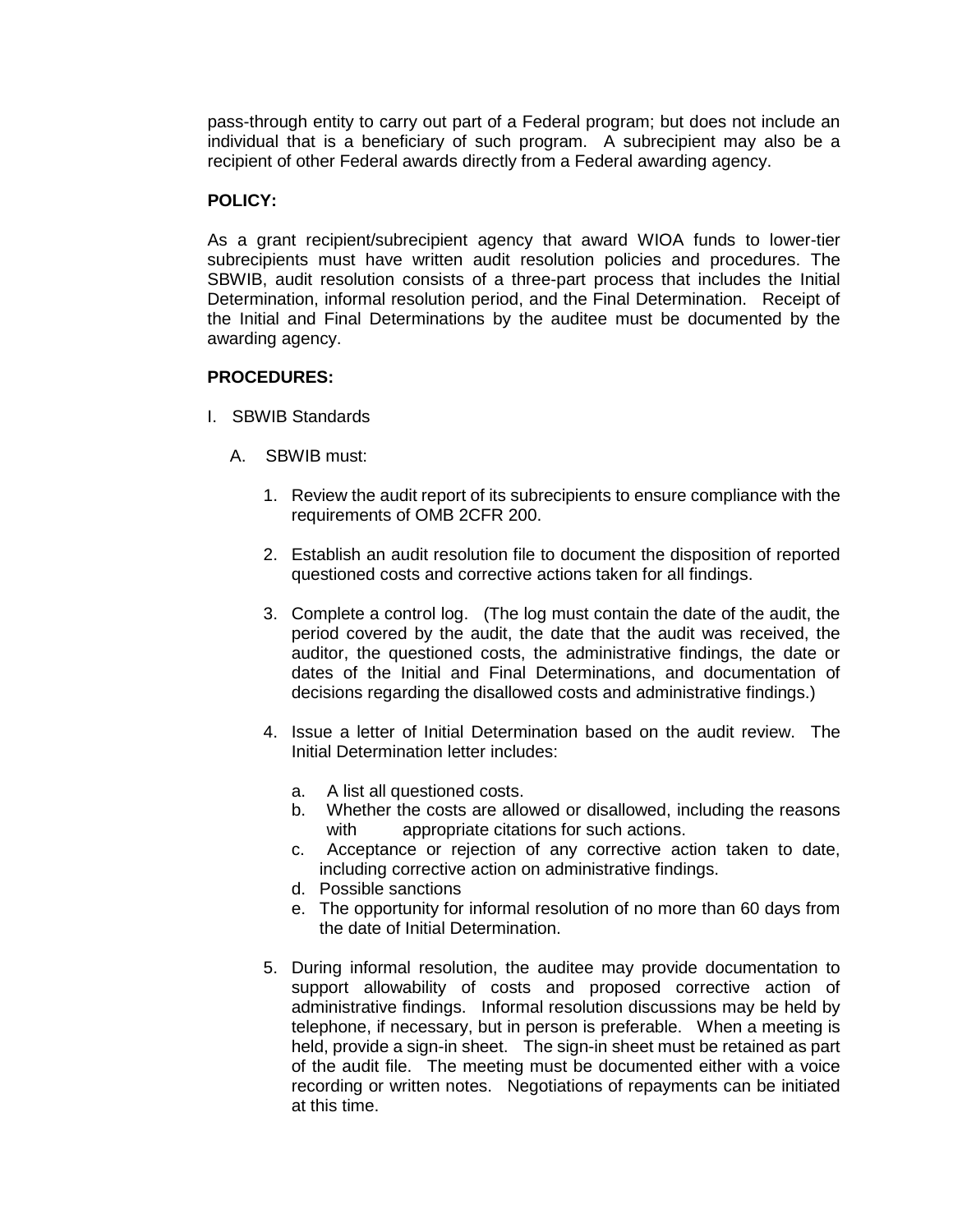pass-through entity to carry out part of a Federal program; but does not include an individual that is a beneficiary of such program. A subrecipient may also be a recipient of other Federal awards directly from a Federal awarding agency.

### **POLICY:**

As a grant recipient/subrecipient agency that award WIOA funds to lower-tier subrecipients must have written audit resolution policies and procedures. The SBWIB, audit resolution consists of a three-part process that includes the Initial Determination, informal resolution period, and the Final Determination. Receipt of the Initial and Final Determinations by the auditee must be documented by the awarding agency.

#### **PROCEDURES:**

- I. SBWIB Standards
	- A. SBWIB must:
		- 1. Review the audit report of its subrecipients to ensure compliance with the requirements of OMB 2CFR 200.
		- 2. Establish an audit resolution file to document the disposition of reported questioned costs and corrective actions taken for all findings.
		- 3. Complete a control log. (The log must contain the date of the audit, the period covered by the audit, the date that the audit was received, the auditor, the questioned costs, the administrative findings, the date or dates of the Initial and Final Determinations, and documentation of decisions regarding the disallowed costs and administrative findings.)
		- 4. Issue a letter of Initial Determination based on the audit review. The Initial Determination letter includes:
			- a. A list all questioned costs.
			- b. Whether the costs are allowed or disallowed, including the reasons with appropriate citations for such actions.
			- c. Acceptance or rejection of any corrective action taken to date, including corrective action on administrative findings.
			- d. Possible sanctions
			- e. The opportunity for informal resolution of no more than 60 days from the date of Initial Determination.
		- 5. During informal resolution, the auditee may provide documentation to support allowability of costs and proposed corrective action of administrative findings. Informal resolution discussions may be held by telephone, if necessary, but in person is preferable. When a meeting is held, provide a sign-in sheet. The sign-in sheet must be retained as part of the audit file. The meeting must be documented either with a voice recording or written notes. Negotiations of repayments can be initiated at this time.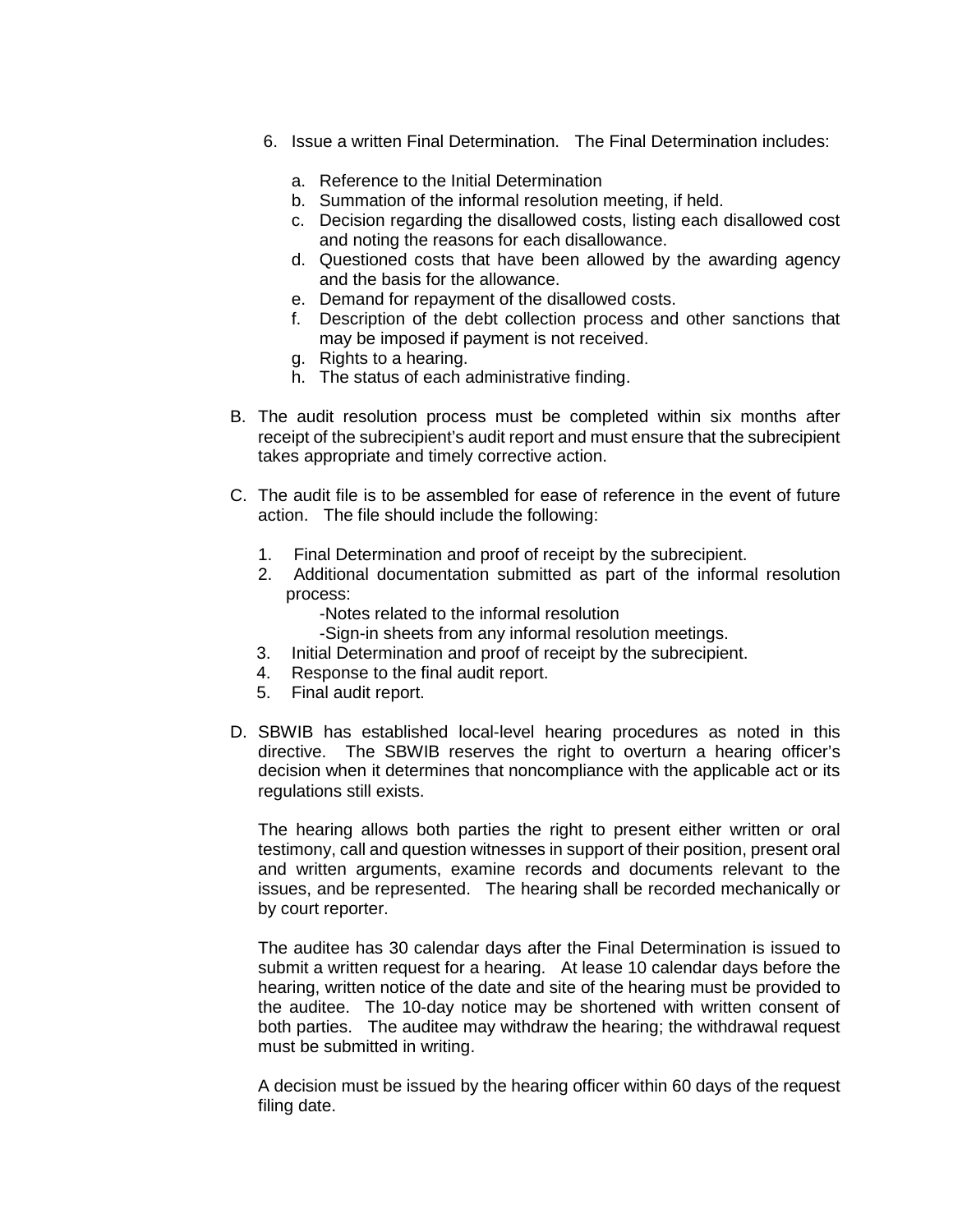- 6. Issue a written Final Determination. The Final Determination includes:
	- a. Reference to the Initial Determination
	- b. Summation of the informal resolution meeting, if held.
	- c. Decision regarding the disallowed costs, listing each disallowed cost and noting the reasons for each disallowance.
	- d. Questioned costs that have been allowed by the awarding agency and the basis for the allowance.
	- e. Demand for repayment of the disallowed costs.
	- f. Description of the debt collection process and other sanctions that may be imposed if payment is not received.
	- g. Rights to a hearing.
	- h. The status of each administrative finding.
- B. The audit resolution process must be completed within six months after receipt of the subrecipient's audit report and must ensure that the subrecipient takes appropriate and timely corrective action.
- C. The audit file is to be assembled for ease of reference in the event of future action. The file should include the following:
	- 1. Final Determination and proof of receipt by the subrecipient.<br>2. Additional documentation submitted as part of the informa
	- 2. Additional documentation submitted as part of the informal resolution process:
		- -Notes related to the informal resolution
		- -Sign-in sheets from any informal resolution meetings.
	- 3. Initial Determination and proof of receipt by the subrecipient.
	- 4. Response to the final audit report.
	- 5. Final audit report.
- D. SBWIB has established local-level hearing procedures as noted in this directive. The SBWIB reserves the right to overturn a hearing officer's decision when it determines that noncompliance with the applicable act or its regulations still exists.

The hearing allows both parties the right to present either written or oral testimony, call and question witnesses in support of their position, present oral and written arguments, examine records and documents relevant to the issues, and be represented. The hearing shall be recorded mechanically or by court reporter.

The auditee has 30 calendar days after the Final Determination is issued to submit a written request for a hearing. At lease 10 calendar days before the hearing, written notice of the date and site of the hearing must be provided to the auditee. The 10-day notice may be shortened with written consent of both parties. The auditee may withdraw the hearing; the withdrawal request must be submitted in writing.

A decision must be issued by the hearing officer within 60 days of the request filing date.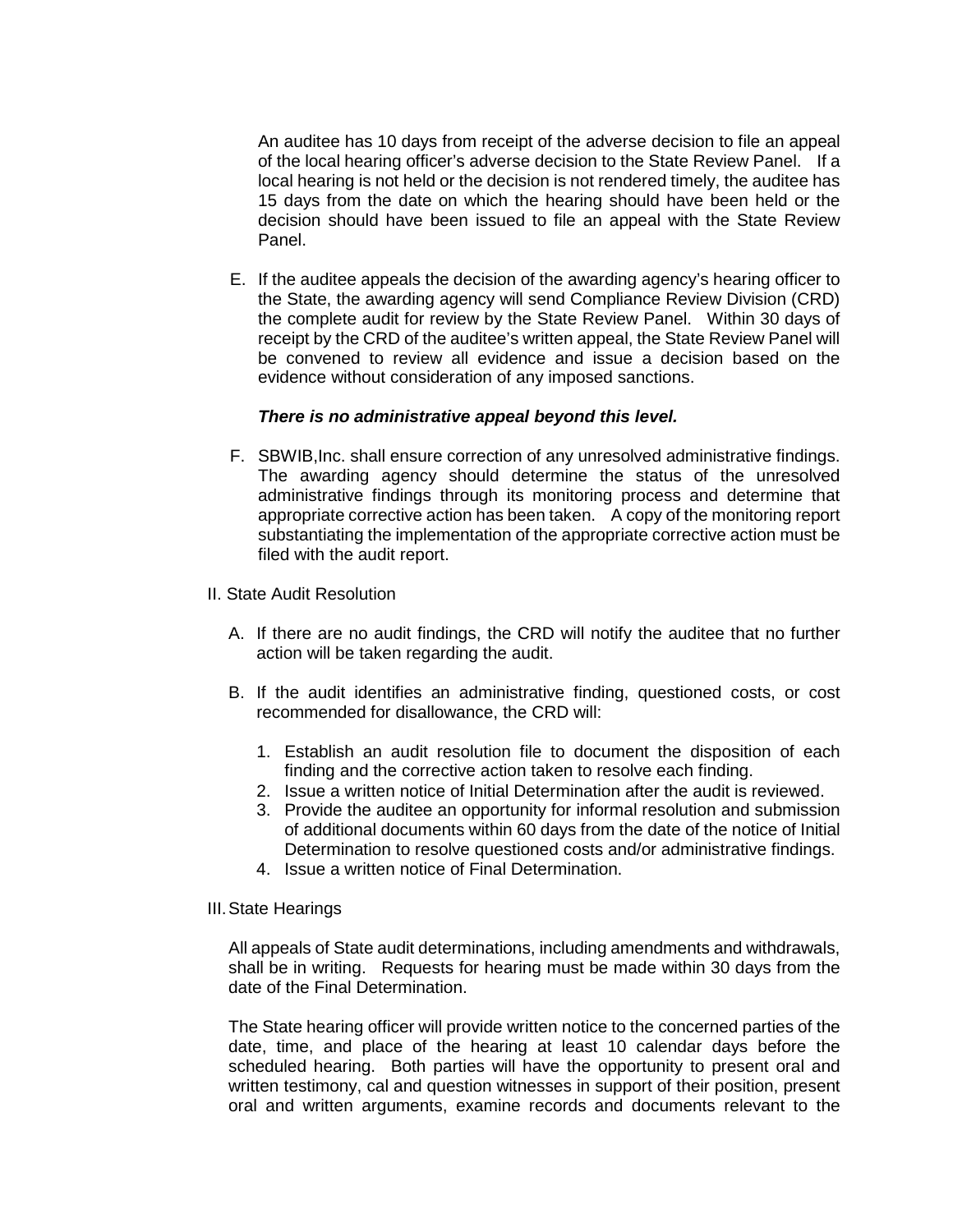An auditee has 10 days from receipt of the adverse decision to file an appeal of the local hearing officer's adverse decision to the State Review Panel. If a local hearing is not held or the decision is not rendered timely, the auditee has 15 days from the date on which the hearing should have been held or the decision should have been issued to file an appeal with the State Review Panel.

E. If the auditee appeals the decision of the awarding agency's hearing officer to the State, the awarding agency will send Compliance Review Division (CRD) the complete audit for review by the State Review Panel. Within 30 days of receipt by the CRD of the auditee's written appeal, the State Review Panel will be convened to review all evidence and issue a decision based on the evidence without consideration of any imposed sanctions.

#### *There is no administrative appeal beyond this level.*

- F. SBWIB,Inc. shall ensure correction of any unresolved administrative findings. The awarding agency should determine the status of the unresolved administrative findings through its monitoring process and determine that appropriate corrective action has been taken. A copy of the monitoring report substantiating the implementation of the appropriate corrective action must be filed with the audit report.
- II. State Audit Resolution
	- A. If there are no audit findings, the CRD will notify the auditee that no further action will be taken regarding the audit.
	- B. If the audit identifies an administrative finding, questioned costs, or cost recommended for disallowance, the CRD will:
		- 1. Establish an audit resolution file to document the disposition of each finding and the corrective action taken to resolve each finding.
		- 2. Issue a written notice of Initial Determination after the audit is reviewed.
		- 3. Provide the auditee an opportunity for informal resolution and submission of additional documents within 60 days from the date of the notice of Initial Determination to resolve questioned costs and/or administrative findings.
		- 4. Issue a written notice of Final Determination.
- III.State Hearings

All appeals of State audit determinations, including amendments and withdrawals, shall be in writing. Requests for hearing must be made within 30 days from the date of the Final Determination.

The State hearing officer will provide written notice to the concerned parties of the date, time, and place of the hearing at least 10 calendar days before the scheduled hearing. Both parties will have the opportunity to present oral and written testimony, cal and question witnesses in support of their position, present oral and written arguments, examine records and documents relevant to the